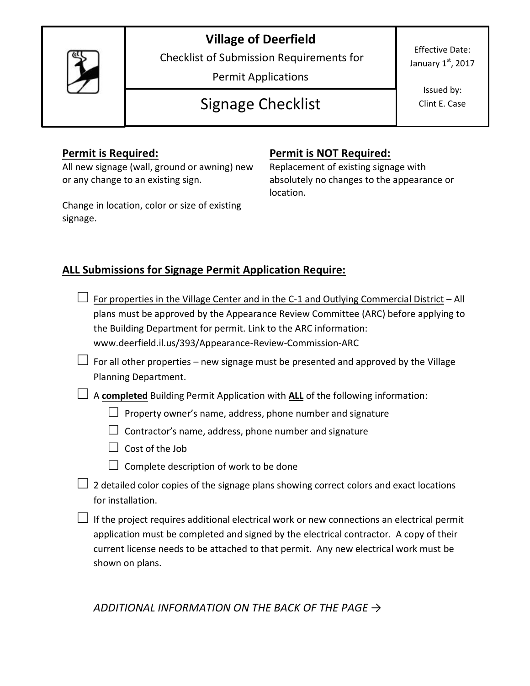## **Village of Deerfield**



Checklist of Submission Requirements for

Permit Applications

# Signage Checklist

Effective Date: January  $1<sup>st</sup>$ , 2017

> Issued by: Clint E. Case

All new signage (wall, ground or awning) new or any change to an existing sign.

Change in location, color or size of existing signage.

#### **Permit is Required: Permit is NOT Required:**

Replacement of existing signage with absolutely no changes to the appearance or location.

### **ALL Submissions for Signage Permit Application Require:**

- For properties in the Village Center and in the C-1 and Outlying Commercial District All plans must be approved by the Appearance Review Committee (ARC) before applying to the Building Department for permit. Link to the ARC information: www.deerfield.il.us/393/Appearance-Review-Commission-ARC
- $\Box$  For all other properties new signage must be presented and approved by the Village Planning Department.

**□** <sup>A</sup>**completed** Building Permit Application with **ALL** of the following information:

- **□** <sup>P</sup>roperty owner's name, address, phone number and signature
- **□** Contractor's name, address, phone number and signature
- **□** Cost of the Job
- □ Complete description of work to be done
- **□** 2 detailed color copies of the signage plans showing correct colors and exact locations for installation.

**□** If the project requires additional electrical work or new connections an electrical permit application must be completed and signed by the electrical contractor. A copy of their current license needs to be attached to that permit. Any new electrical work must be shown on plans.

*ADDITIONAL INFORMATION ON THE BACK OF THE PAGE →*